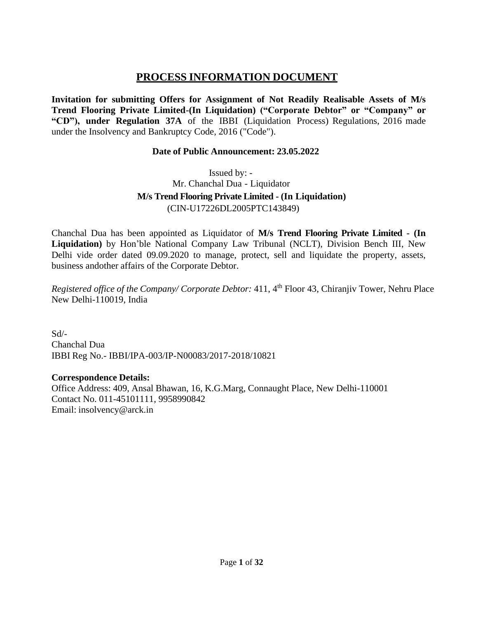## **PROCESS INFORMATION DOCUMENT**

**Invitation for submitting Offers for Assignment of Not Readily Realisable Assets of M/s Trend Flooring Private Limited-(In Liquidation) ("Corporate Debtor" or "Company" or "CD"), under Regulation 37A** of the IBBI (Liquidation Process) Regulations, 2016 made under the Insolvency and Bankruptcy Code, 2016 ("Code").

#### **Date of Public Announcement: 23.05.2022**

Issued by: - Mr. Chanchal Dua - Liquidator **M/s Trend Flooring Private Limited - (In Liquidation)** (CIN-U17226DL2005PTC143849)

Chanchal Dua has been appointed as Liquidator of **M/s Trend Flooring Private Limited - (In Liquidation)** by Hon'ble National Company Law Tribunal (NCLT), Division Bench III, New Delhi vide order dated 09.09.2020 to manage, protect, sell and liquidate the property, assets, business andother affairs of the Corporate Debtor.

*Registered office of the Company/ Corporate Debtor:* 411, 4th Floor 43, Chiranjiv Tower, Nehru Place New Delhi-110019, India

Sd/- Chanchal Dua IBBI Reg No.- IBBI/IPA-003/IP-N00083/2017-2018/10821

#### **Correspondence Details:**

Office Address: 409, Ansal Bhawan, 16, K.G.Marg, Connaught Place, New Delhi-110001 Contact No. 011-45101111, 9958990842 Email: [insolvency@arck.in](mailto:insolvency@arck.in)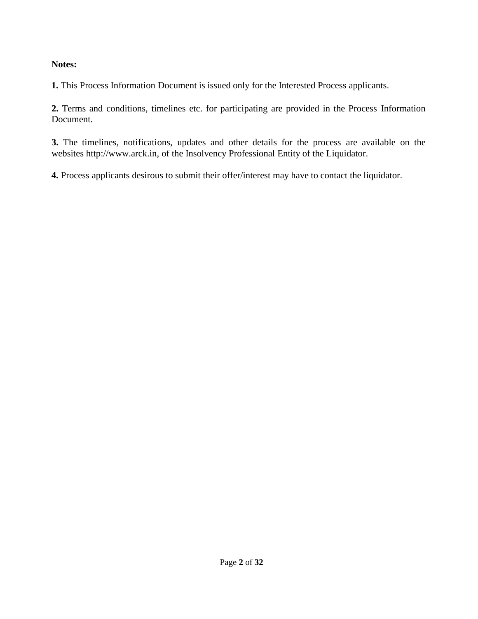### **Notes:**

**1.** This Process Information Document is issued only for the Interested Process applicants.

**2.** Terms and conditions, timelines etc. for participating are provided in the Process Information Document.

**3.** The timelines, notifications, updates and other details for the process are available on the websites [http://www.arck.in,](http://www.arck.in/) of the Insolvency Professional Entity of the Liquidator.

**4.** Process applicants desirous to submit their offer/interest may have to contact the liquidator.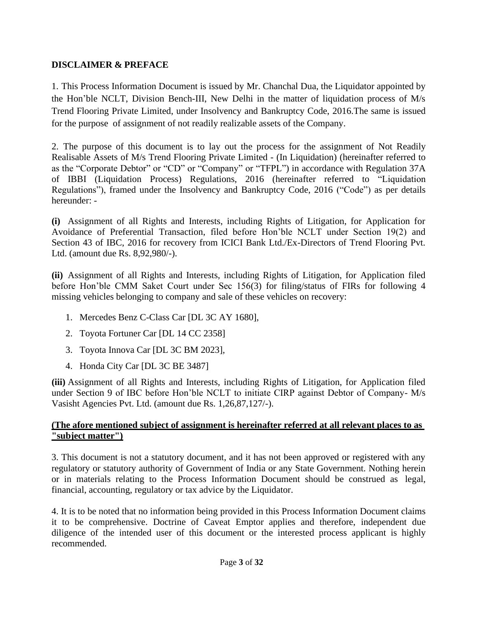### **DISCLAIMER & PREFACE**

1. This Process Information Document is issued by Mr. Chanchal Dua, the Liquidator appointed by the Hon'ble NCLT, Division Bench-III, New Delhi in the matter of liquidation process of M/s Trend Flooring Private Limited, under Insolvency and Bankruptcy Code, 2016.The same is issued for the purpose of assignment of not readily realizable assets of the Company.

2. The purpose of this document is to lay out the process for the assignment of Not Readily Realisable Assets of M/s Trend Flooring Private Limited - (In Liquidation) (hereinafter referred to as the "Corporate Debtor" or "CD" or "Company" or "TFPL") in accordance with Regulation 37A of IBBI (Liquidation Process) Regulations, 2016 (hereinafter referred to "Liquidation Regulations"), framed under the Insolvency and Bankruptcy Code, 2016 ("Code") as per details hereunder: -

**(i)** Assignment of all Rights and Interests, including Rights of Litigation, for Application for Avoidance of Preferential Transaction, filed before Hon'ble NCLT under Section 19(2) and Section 43 of IBC, 2016 for recovery from ICICI Bank Ltd./Ex-Directors of Trend Flooring Pvt. Ltd. (amount due Rs. 8,92,980/-).

**(ii)** Assignment of all Rights and Interests, including Rights of Litigation, for Application filed before Hon'ble CMM Saket Court under Sec 156(3) for filing/status of FIRs for following 4 missing vehicles belonging to company and sale of these vehicles on recovery:

- 1. Mercedes Benz C-Class Car [DL 3C AY 1680],
- 2. Toyota Fortuner Car [DL 14 CC 2358]
- 3. Toyota Innova Car [DL 3C BM 2023],
- 4. Honda City Car [DL 3C BE 3487]

**(iii)** Assignment of all Rights and Interests, including Rights of Litigation, for Application filed under Section 9 of IBC before Hon'ble NCLT to initiate CIRP against Debtor of Company- M/s Vasisht Agencies Pvt. Ltd. (amount due Rs. 1,26,87,127/-).

### **(The afore mentioned subject of assignment is hereinafter referred at all relevant places to as "subject matter")**

3. This document is not a statutory document, and it has not been approved or registered with any regulatory or statutory authority of Government of India or any State Government. Nothing herein or in materials relating to the Process Information Document should be construed as legal, financial, accounting, regulatory or tax advice by the Liquidator.

4. It is to be noted that no information being provided in this Process Information Document claims it to be comprehensive. Doctrine of Caveat Emptor applies and therefore, independent due diligence of the intended user of this document or the interested process applicant is highly recommended.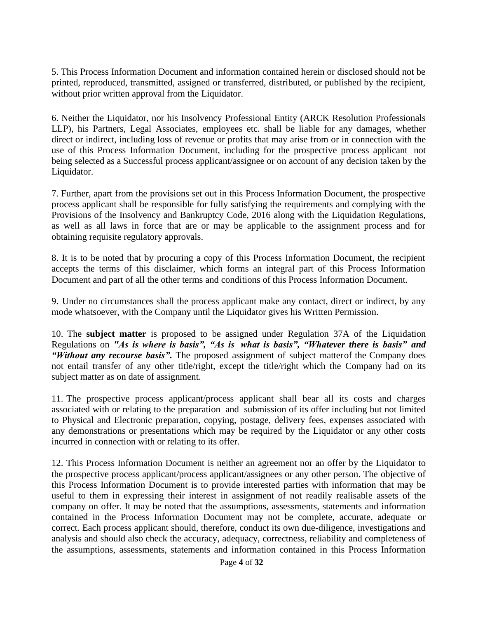5. This Process Information Document and information contained herein or disclosed should not be printed, reproduced, transmitted, assigned or transferred, distributed, or published by the recipient, without prior written approval from the Liquidator.

6. Neither the Liquidator, nor his Insolvency Professional Entity (ARCK Resolution Professionals LLP), his Partners, Legal Associates, employees etc. shall be liable for any damages, whether direct or indirect, including loss of revenue or profits that may arise from or in connection with the use of this Process Information Document, including for the prospective process applicant not being selected as a Successful process applicant/assignee or on account of any decision taken by the Liquidator.

7. Further, apart from the provisions set out in this Process Information Document, the prospective process applicant shall be responsible for fully satisfying the requirements and complying with the Provisions of the Insolvency and Bankruptcy Code, 2016 along with the Liquidation Regulations, as well as all laws in force that are or may be applicable to the assignment process and for obtaining requisite regulatory approvals.

8. It is to be noted that by procuring a copy of this Process Information Document, the recipient accepts the terms of this disclaimer, which forms an integral part of this Process Information Document and part of all the other terms and conditions of this Process Information Document.

9. Under no circumstances shall the process applicant make any contact, direct or indirect, by any mode whatsoever, with the Company until the Liquidator gives his Written Permission.

10. The **subject matter** is proposed to be assigned under Regulation 37A of the Liquidation Regulations on *"As is where is basis", "As is what is basis", "Whatever there is basis" and "Without any recourse basis"***.** The proposed assignment of subject matterof the Company does not entail transfer of any other title/right, except the title/right which the Company had on its subject matter as on date of assignment.

11. The prospective process applicant/process applicant shall bear all its costs and charges associated with or relating to the preparation and submission of its offer including but not limited to Physical and Electronic preparation, copying, postage, delivery fees, expenses associated with any demonstrations or presentations which may be required by the Liquidator or any other costs incurred in connection with or relating to its offer.

12. This Process Information Document is neither an agreement nor an offer by the Liquidator to the prospective process applicant/process applicant/assignees or any other person. The objective of this Process Information Document is to provide interested parties with information that may be useful to them in expressing their interest in assignment of not readily realisable assets of the company on offer. It may be noted that the assumptions, assessments, statements and information contained in the Process Information Document may not be complete, accurate, adequate or correct. Each process applicant should, therefore, conduct its own due-diligence, investigations and analysis and should also check the accuracy, adequacy, correctness, reliability and completeness of the assumptions, assessments, statements and information contained in this Process Information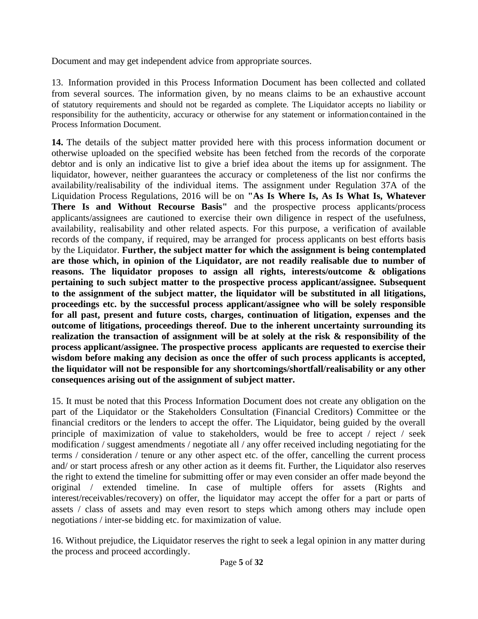Document and may get independent advice from appropriate sources.

13. Information provided in this Process Information Document has been collected and collated from several sources. The information given, by no means claims to be an exhaustive account of statutory requirements and should not be regarded as complete. The Liquidator accepts no liability or responsibility for the authenticity, accuracy or otherwise for any statement or informationcontained in the Process Information Document.

**14.** The details of the subject matter provided here with this process information document or otherwise uploaded on the specified website has been fetched from the records of the corporate debtor and is only an indicative list to give a brief idea about the items up for assignment. The liquidator, however, neither guarantees the accuracy or completeness of the list nor confirms the availability/realisability of the individual items. The assignment under Regulation 37A of the Liquidation Process Regulations, 2016 will be on **"As Is Where Is, As Is What Is, Whatever There Is and Without Recourse Basis"** and the prospective process applicants/process applicants/assignees are cautioned to exercise their own diligence in respect of the usefulness, availability, realisability and other related aspects. For this purpose, a verification of available records of the company, if required, may be arranged for process applicants on best efforts basis by the Liquidator. **Further, the subject matter for which the assignment is being contemplated are those which, in opinion of the Liquidator, are not readily realisable due to number of reasons. The liquidator proposes to assign all rights, interests/outcome & obligations pertaining to such subject matter to the prospective process applicant/assignee. Subsequent to the assignment of the subject matter, the liquidator will be substituted in all litigations, proceedings etc. by the successful process applicant/assignee who will be solely responsible for all past, present and future costs, charges, continuation of litigation, expenses and the outcome of litigations, proceedings thereof. Due to the inherent uncertainty surrounding its realization the transaction of assignment will be at solely at the risk & responsibility of the process applicant/assignee. The prospective process applicants are requested to exercise their wisdom before making any decision as once the offer of such process applicants is accepted, the liquidator will not be responsible for any shortcomings/shortfall/realisability or any other consequences arising out of the assignment of subject matter.**

15. It must be noted that this Process Information Document does not create any obligation on the part of the Liquidator or the Stakeholders Consultation (Financial Creditors) Committee or the financial creditors or the lenders to accept the offer. The Liquidator, being guided by the overall principle of maximization of value to stakeholders, would be free to accept / reject / seek modification / suggest amendments / negotiate all / any offer received including negotiating for the terms / consideration / tenure or any other aspect etc. of the offer, cancelling the current process and/ or start process afresh or any other action as it deems fit. Further, the Liquidator also reserves the right to extend the timeline for submitting offer or may even consider an offer made beyond the original / extended timeline. In case of multiple offers for assets (Rights and interest/receivables/recovery) on offer, the liquidator may accept the offer for a part or parts of assets / class of assets and may even resort to steps which among others may include open negotiations / inter-se bidding etc. for maximization of value.

16. Without prejudice, the Liquidator reserves the right to seek a legal opinion in any matter during the process and proceed accordingly.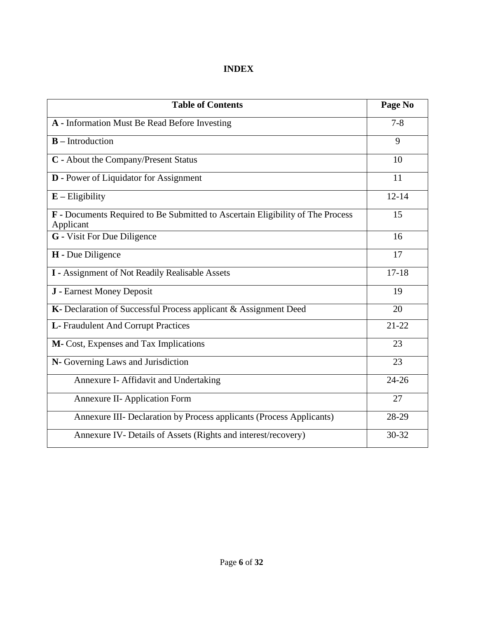## **INDEX**

| <b>Table of Contents</b>                                                                    | Page No   |  |
|---------------------------------------------------------------------------------------------|-----------|--|
| A - Information Must Be Read Before Investing                                               | $7 - 8$   |  |
| $B$ – Introduction                                                                          | 9         |  |
| C - About the Company/Present Status                                                        | 10        |  |
| <b>D</b> - Power of Liquidator for Assignment                                               | 11        |  |
| $E$ – Eligibility                                                                           | $12 - 14$ |  |
| F - Documents Required to Be Submitted to Ascertain Eligibility of The Process<br>Applicant | 15        |  |
| G - Visit For Due Diligence                                                                 | 16        |  |
| H - Due Diligence                                                                           | 17        |  |
| <b>I</b> - Assignment of Not Readily Realisable Assets                                      | $17 - 18$ |  |
| <b>J</b> - Earnest Money Deposit                                                            | 19        |  |
| K- Declaration of Successful Process applicant & Assignment Deed                            | 20        |  |
| L- Fraudulent And Corrupt Practices                                                         | $21 - 22$ |  |
| M- Cost, Expenses and Tax Implications                                                      | 23        |  |
| N- Governing Laws and Jurisdiction                                                          | 23        |  |
| Annexure I- Affidavit and Undertaking                                                       | $24 - 26$ |  |
| <b>Annexure II- Application Form</b>                                                        | 27        |  |
| Annexure III- Declaration by Process applicants (Process Applicants)                        | 28-29     |  |
| Annexure IV- Details of Assets (Rights and interest/recovery)                               | 30-32     |  |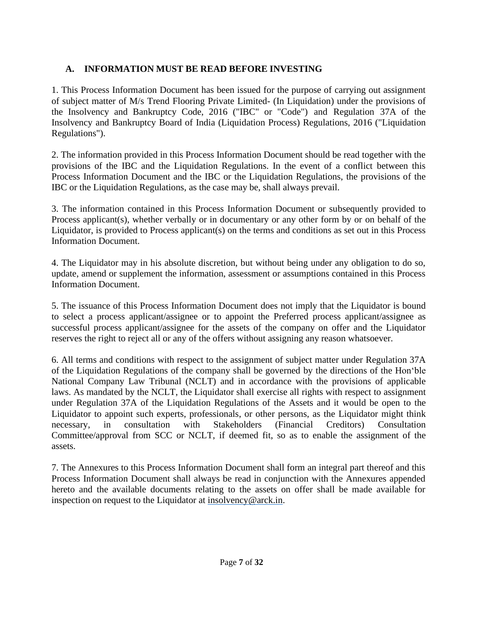## **A. INFORMATION MUST BE READ BEFORE INVESTING**

1. This Process Information Document has been issued for the purpose of carrying out assignment of subject matter of M/s Trend Flooring Private Limited- (In Liquidation) under the provisions of the Insolvency and Bankruptcy Code, 2016 ("IBC" or "Code") and Regulation 37A of the Insolvency and Bankruptcy Board of India (Liquidation Process) Regulations, 2016 ("Liquidation Regulations").

2. The information provided in this Process Information Document should be read together with the provisions of the IBC and the Liquidation Regulations. In the event of a conflict between this Process Information Document and the IBC or the Liquidation Regulations, the provisions of the IBC or the Liquidation Regulations, as the case may be, shall always prevail.

3. The information contained in this Process Information Document or subsequently provided to Process applicant(s), whether verbally or in documentary or any other form by or on behalf of the Liquidator, is provided to Process applicant(s) on the terms and conditions as set out in this Process Information Document.

4. The Liquidator may in his absolute discretion, but without being under any obligation to do so, update, amend or supplement the information, assessment or assumptions contained in this Process Information Document.

5. The issuance of this Process Information Document does not imply that the Liquidator is bound to select a process applicant/assignee or to appoint the Preferred process applicant/assignee as successful process applicant/assignee for the assets of the company on offer and the Liquidator reserves the right to reject all or any of the offers without assigning any reason whatsoever.

6. All terms and conditions with respect to the assignment of subject matter under Regulation 37A of the Liquidation Regulations of the company shall be governed by the directions of the Hon'ble National Company Law Tribunal (NCLT) and in accordance with the provisions of applicable laws. As mandated by the NCLT, the Liquidator shall exercise all rights with respect to assignment under Regulation 37A of the Liquidation Regulations of the Assets and it would be open to the Liquidator to appoint such experts, professionals, or other persons, as the Liquidator might think necessary, in consultation with Stakeholders (Financial Creditors) Consultation Committee/approval from SCC or NCLT, if deemed fit, so as to enable the assignment of the assets.

7. The Annexures to this Process Information Document shall form an integral part thereof and this Process Information Document shall always be read in conjunction with the Annexures appended hereto and the available documents relating to the assets on offer shall be made available for inspection on request to the Liquidator at [insolvency@arck.in.](mailto:insolvency@arck.in)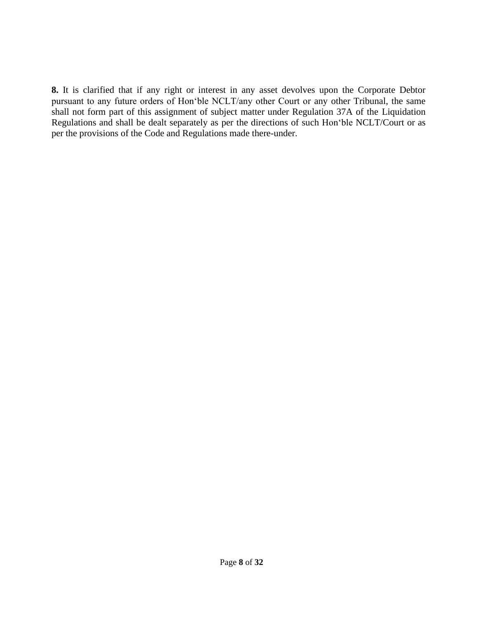**8.** It is clarified that if any right or interest in any asset devolves upon the Corporate Debtor pursuant to any future orders of Hon'ble NCLT/any other Court or any other Tribunal, the same shall not form part of this assignment of subject matter under Regulation 37A of the Liquidation Regulations and shall be dealt separately as per the directions of such Hon'ble NCLT/Court or as per the provisions of the Code and Regulations made there-under.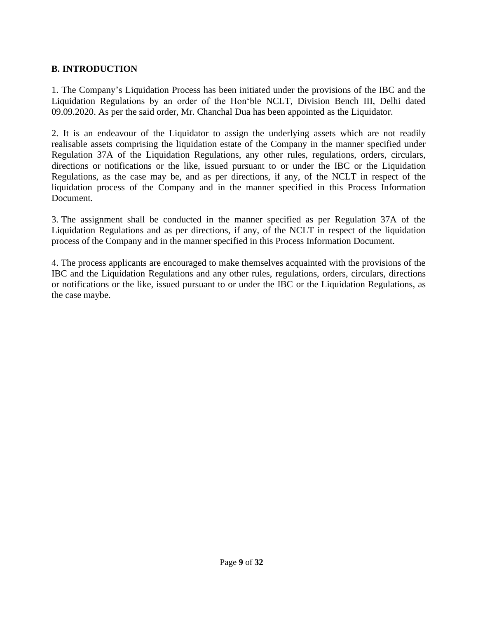### **B. INTRODUCTION**

1. The Company's Liquidation Process has been initiated under the provisions of the IBC and the Liquidation Regulations by an order of the Hon'ble NCLT, Division Bench III, Delhi dated 09.09.2020. As per the said order, Mr. Chanchal Dua has been appointed as the Liquidator.

2. It is an endeavour of the Liquidator to assign the underlying assets which are not readily realisable assets comprising the liquidation estate of the Company in the manner specified under Regulation 37A of the Liquidation Regulations, any other rules, regulations, orders, circulars, directions or notifications or the like, issued pursuant to or under the IBC or the Liquidation Regulations, as the case may be, and as per directions, if any, of the NCLT in respect of the liquidation process of the Company and in the manner specified in this Process Information Document.

3. The assignment shall be conducted in the manner specified as per Regulation 37A of the Liquidation Regulations and as per directions, if any, of the NCLT in respect of the liquidation process of the Company and in the manner specified in this Process Information Document.

4. The process applicants are encouraged to make themselves acquainted with the provisions of the IBC and the Liquidation Regulations and any other rules, regulations, orders, circulars, directions or notifications or the like, issued pursuant to or under the IBC or the Liquidation Regulations, as the case maybe.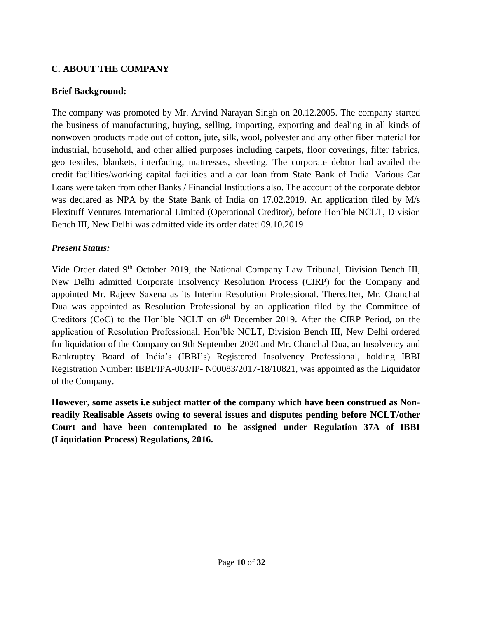### **C. ABOUT THE COMPANY**

### **Brief Background:**

The company was promoted by Mr. Arvind Narayan Singh on 20.12.2005. The company started the business of manufacturing, buying, selling, importing, exporting and dealing in all kinds of nonwoven products made out of cotton, jute, silk, wool, polyester and any other fiber material for industrial, household, and other allied purposes including carpets, floor coverings, filter fabrics, geo textiles, blankets, interfacing, mattresses, sheeting. The corporate debtor had availed the credit facilities/working capital facilities and a car loan from State Bank of India. Various Car Loans were taken from other Banks / Financial Institutions also. The account of the corporate debtor was declared as NPA by the State Bank of India on 17.02.2019. An application filed by M/s Flexituff Ventures International Limited (Operational Creditor), before Hon'ble NCLT, Division Bench III, New Delhi was admitted vide its order dated 09.10.2019

### *Present Status:*

Vide Order dated 9th October 2019, the National Company Law Tribunal, Division Bench III, New Delhi admitted Corporate Insolvency Resolution Process (CIRP) for the Company and appointed Mr. Rajeev Saxena as its Interim Resolution Professional. Thereafter, Mr. Chanchal Dua was appointed as Resolution Professional by an application filed by the Committee of Creditors (CoC) to the Hon'ble NCLT on  $6<sup>th</sup>$  December 2019. After the CIRP Period, on the application of Resolution Professional, Hon'ble NCLT, Division Bench III, New Delhi ordered for liquidation of the Company on 9th September 2020 and Mr. Chanchal Dua, an Insolvency and Bankruptcy Board of India's (IBBI's) Registered Insolvency Professional, holding IBBI Registration Number: IBBI/IPA-003/IP- N00083/2017-18/10821, was appointed as the Liquidator of the Company.

**However, some assets i.e subject matter of the company which have been construed as Nonreadily Realisable Assets owing to several issues and disputes pending before NCLT/other Court and have been contemplated to be assigned under Regulation 37A of IBBI (Liquidation Process) Regulations, 2016.**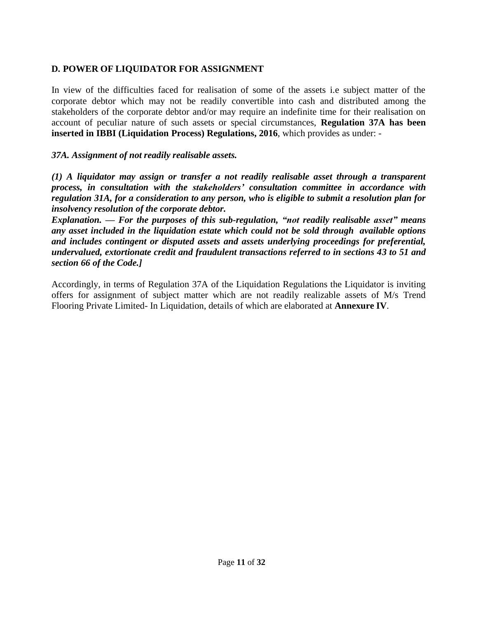### **D. POWER OF LIQUIDATOR FOR ASSIGNMENT**

In view of the difficulties faced for realisation of some of the assets i.e subject matter of the corporate debtor which may not be readily convertible into cash and distributed among the stakeholders of the corporate debtor and/or may require an indefinite time for their realisation on account of peculiar nature of such assets or special circumstances, **Regulation 37A has been inserted in IBBI (Liquidation Process) Regulations, 2016**, which provides as under: -

### *37A. Assignment of not readily realisable assets.*

*(1) A liquidator may assign or transfer a not readily realisable asset through a transparent process, in consultation with the stakeholders' consultation committee in accordance with regulation 31A, for a consideration to any person, who is eligible to submit a resolution plan for insolvency resolution of the corporate debtor.*

*Explanation. — For the purposes of this sub-regulation, "not readily realisable asset" means any asset included in the liquidation estate which could not be sold through available options and includes contingent or disputed assets and assets underlying proceedings for preferential, undervalued, extortionate credit and fraudulent transactions referred to in sections 43 to 51 and section 66 of the Code.]*

Accordingly, in terms of Regulation 37A of the Liquidation Regulations the Liquidator is inviting offers for assignment of subject matter which are not readily realizable assets of M/s Trend Flooring Private Limited- In Liquidation, details of which are elaborated at **Annexure IV**.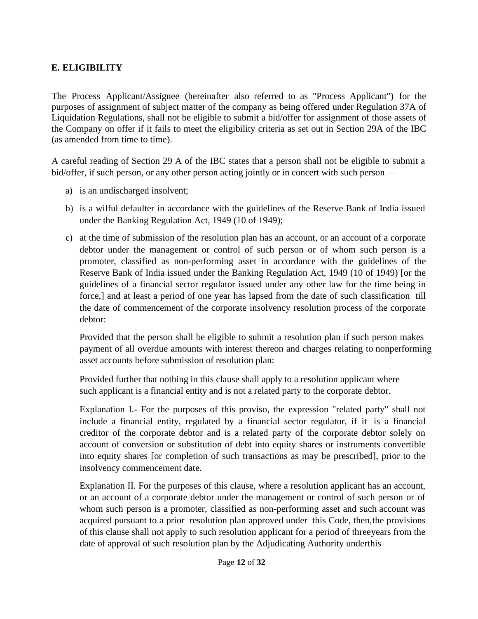## **E. ELIGIBILITY**

The Process Applicant/Assignee (hereinafter also referred to as "Process Applicant") for the purposes of assignment of subject matter of the company as being offered under Regulation 37A of Liquidation Regulations, shall not be eligible to submit a bid/offer for assignment of those assets of the Company on offer if it fails to meet the eligibility criteria as set out in Section 29A of the IBC (as amended from time to time).

A careful reading of Section 29 A of the IBC states that a person shall not be eligible to submit a bid/offer, if such person, or any other person acting jointly or in concert with such person —

- a) is an undischarged insolvent;
- b) is a wilful defaulter in accordance with the guidelines of the Reserve Bank of India issued under the Banking Regulation Act, 1949 (10 of 1949);
- c) at the time of submission of the resolution plan has an account, or an account of a corporate debtor under the management or control of such person or of whom such person is a promoter, classified as non-performing asset in accordance with the guidelines of the Reserve Bank of India issued under the Banking Regulation Act, 1949 (10 of 1949) [or the guidelines of a financial sector regulator issued under any other law for the time being in force,] and at least a period of one year has lapsed from the date of such classification till the date of commencement of the corporate insolvency resolution process of the corporate debtor:

Provided that the person shall be eligible to submit a resolution plan if such person makes payment of all overdue amounts with interest thereon and charges relating to nonperforming asset accounts before submission of resolution plan:

Provided further that nothing in this clause shall apply to a resolution applicant where such applicant is a financial entity and is not a related party to the corporate debtor.

Explanation I.- For the purposes of this proviso, the expression "related party" shall not include a financial entity, regulated by a financial sector regulator, if it is a financial creditor of the corporate debtor and is a related party of the corporate debtor solely on account of conversion or substitution of debt into equity shares or instruments convertible into equity shares [or completion of such transactions as may be prescribed], prior to the insolvency commencement date.

Explanation II. For the purposes of this clause, where a resolution applicant has an account, or an account of a corporate debtor under the management or control of such person or of whom such person is a promoter, classified as non-performing asset and such account was acquired pursuant to a prior resolution plan approved under this Code, then,the provisions of this clause shall not apply to such resolution applicant for a period of threeyears from the date of approval of such resolution plan by the Adjudicating Authority underthis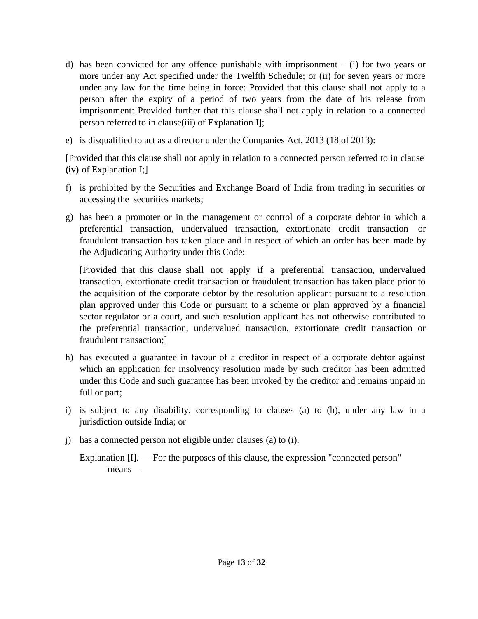- d) has been convicted for any offence punishable with imprisonment  $-$  (i) for two years or more under any Act specified under the Twelfth Schedule; or (ii) for seven years or more under any law for the time being in force: Provided that this clause shall not apply to a person after the expiry of a period of two years from the date of his release from imprisonment: Provided further that this clause shall not apply in relation to a connected person referred to in clause(iii) of Explanation I];
- e) is disqualified to act as a director under the Companies Act, 2013 (18 of 2013):

[Provided that this clause shall not apply in relation to a connected person referred to in clause **(iv)** of Explanation I;]

- f) is prohibited by the Securities and Exchange Board of India from trading in securities or accessing the securities markets;
- g) has been a promoter or in the management or control of a corporate debtor in which a preferential transaction, undervalued transaction, extortionate credit transaction or fraudulent transaction has taken place and in respect of which an order has been made by the Adjudicating Authority under this Code:

[Provided that this clause shall not apply if a preferential transaction, undervalued transaction, extortionate credit transaction or fraudulent transaction has taken place prior to the acquisition of the corporate debtor by the resolution applicant pursuant to a resolution plan approved under this Code or pursuant to a scheme or plan approved by a financial sector regulator or a court, and such resolution applicant has not otherwise contributed to the preferential transaction, undervalued transaction, extortionate credit transaction or fraudulent transaction;]

- h) has executed a guarantee in favour of a creditor in respect of a corporate debtor against which an application for insolvency resolution made by such creditor has been admitted under this Code and such guarantee has been invoked by the creditor and remains unpaid in full or part;
- i) is subject to any disability, corresponding to clauses (a) to (h), under any law in a jurisdiction outside India; or
- j) has a connected person not eligible under clauses (a) to (i).

Explanation [I]. — For the purposes of this clause, the expression "connected person" means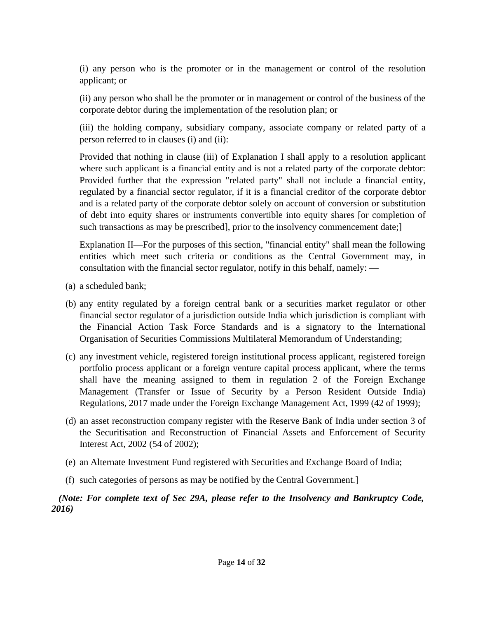(i) any person who is the promoter or in the management or control of the resolution applicant; or

(ii) any person who shall be the promoter or in management or control of the business of the corporate debtor during the implementation of the resolution plan; or

(iii) the holding company, subsidiary company, associate company or related party of a person referred to in clauses (i) and (ii):

Provided that nothing in clause (iii) of Explanation I shall apply to a resolution applicant where such applicant is a financial entity and is not a related party of the corporate debtor: Provided further that the expression "related party" shall not include a financial entity, regulated by a financial sector regulator, if it is a financial creditor of the corporate debtor and is a related party of the corporate debtor solely on account of conversion or substitution of debt into equity shares or instruments convertible into equity shares [or completion of such transactions as may be prescribed], prior to the insolvency commencement date;

Explanation II—For the purposes of this section, "financial entity" shall mean the following entities which meet such criteria or conditions as the Central Government may, in consultation with the financial sector regulator, notify in this behalf, namely: —

- (a) a scheduled bank;
- (b) any entity regulated by a foreign central bank or a securities market regulator or other financial sector regulator of a jurisdiction outside India which jurisdiction is compliant with the Financial Action Task Force Standards and is a signatory to the International Organisation of Securities Commissions Multilateral Memorandum of Understanding;
- (c) any investment vehicle, registered foreign institutional process applicant, registered foreign portfolio process applicant or a foreign venture capital process applicant, where the terms shall have the meaning assigned to them in regulation 2 of the Foreign Exchange Management (Transfer or Issue of Security by a Person Resident Outside India) Regulations, 2017 made under the Foreign Exchange Management Act, 1999 (42 of 1999);
- (d) an asset reconstruction company register with the Reserve Bank of India under section 3 of the Securitisation and Reconstruction of Financial Assets and Enforcement of Security Interest Act, 2002 (54 of 2002);
- (e) an Alternate Investment Fund registered with Securities and Exchange Board of India;
- (f) such categories of persons as may be notified by the Central Government.]

#### *(Note: For complete text of Sec 29A, please refer to the Insolvency and Bankruptcy Code, 2016)*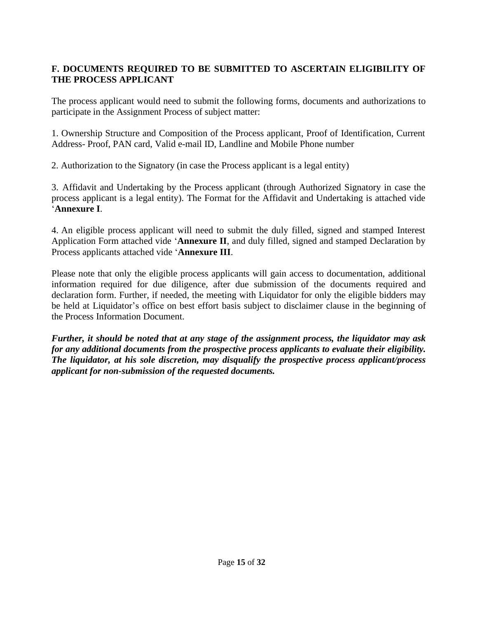### **F. DOCUMENTS REQUIRED TO BE SUBMITTED TO ASCERTAIN ELIGIBILITY OF THE PROCESS APPLICANT**

The process applicant would need to submit the following forms, documents and authorizations to participate in the Assignment Process of subject matter:

1. Ownership Structure and Composition of the Process applicant, Proof of Identification, Current Address- Proof, PAN card, Valid e-mail ID, Landline and Mobile Phone number

2. Authorization to the Signatory (in case the Process applicant is a legal entity)

3. Affidavit and Undertaking by the Process applicant (through Authorized Signatory in case the process applicant is a legal entity). The Format for the Affidavit and Undertaking is attached vide '**Annexure I**.

4. An eligible process applicant will need to submit the duly filled, signed and stamped Interest Application Form attached vide '**Annexure II**, and duly filled, signed and stamped Declaration by Process applicants attached vide '**Annexure III**.

Please note that only the eligible process applicants will gain access to documentation, additional information required for due diligence, after due submission of the documents required and declaration form. Further, if needed, the meeting with Liquidator for only the eligible bidders may be held at Liquidator's office on best effort basis subject to disclaimer clause in the beginning of the Process Information Document.

*Further, it should be noted that at any stage of the assignment process, the liquidator may ask for any additional documents from the prospective process applicants to evaluate their eligibility. The liquidator, at his sole discretion, may disqualify the prospective process applicant/process applicant for non-submission of the requested documents.*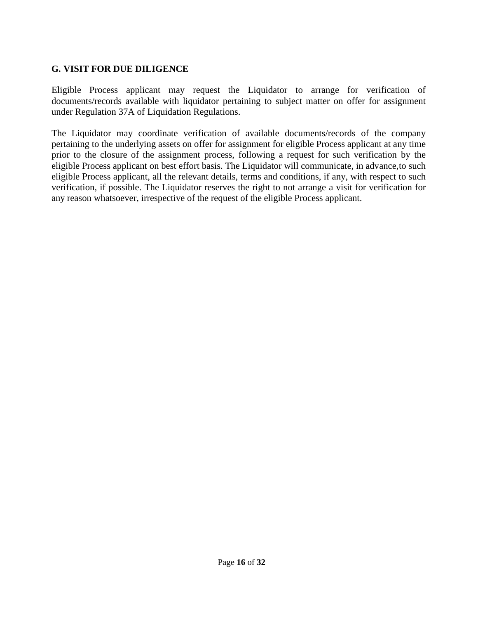### **G. VISIT FOR DUE DILIGENCE**

Eligible Process applicant may request the Liquidator to arrange for verification of documents/records available with liquidator pertaining to subject matter on offer for assignment under Regulation 37A of Liquidation Regulations.

The Liquidator may coordinate verification of available documents/records of the company pertaining to the underlying assets on offer for assignment for eligible Process applicant at any time prior to the closure of the assignment process, following a request for such verification by the eligible Process applicant on best effort basis. The Liquidator will communicate, in advance,to such eligible Process applicant, all the relevant details, terms and conditions, if any, with respect to such verification, if possible. The Liquidator reserves the right to not arrange a visit for verification for any reason whatsoever, irrespective of the request of the eligible Process applicant.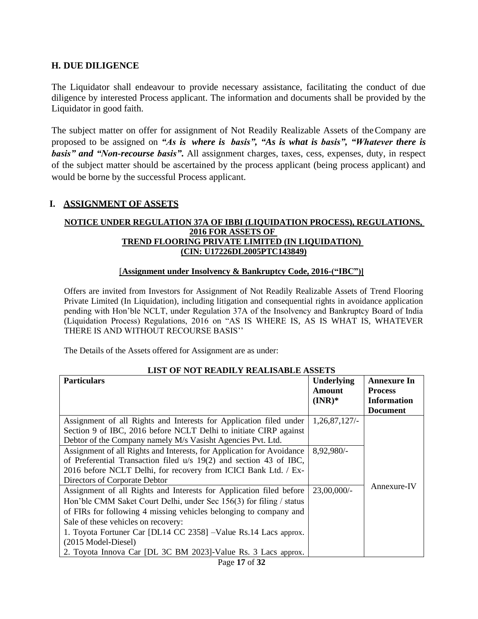#### **H. DUE DILIGENCE**

The Liquidator shall endeavour to provide necessary assistance, facilitating the conduct of due diligence by interested Process applicant. The information and documents shall be provided by the Liquidator in good faith.

The subject matter on offer for assignment of Not Readily Realizable Assets of theCompany are proposed to be assigned on *"As is where is basis", "As is what is basis", "Whatever there is basis" and "Non-recourse basis"***.** All assignment charges, taxes, cess, expenses, duty, in respect of the subject matter should be ascertained by the process applicant (being process applicant) and would be borne by the successful Process applicant.

#### **I. ASSIGNMENT OF ASSETS**

#### **NOTICE UNDER REGULATION 37A OF IBBI (LIQUIDATION PROCESS), REGULATIONS, 2016 FOR ASSETS OF TREND FLOORING PRIVATE LIMITED (IN LIQUIDATION) (CIN: U17226DL2005PTC143849)**

#### [**Assignment under Insolvency & Bankruptcy Code, 2016-("IBC")]**

Offers are invited from Investors for Assignment of Not Readily Realizable Assets of Trend Flooring Private Limited (In Liquidation), including litigation and consequential rights in avoidance application pending with Hon'ble NCLT, under Regulation 37A of the Insolvency and Bankruptcy Board of India (Liquidation Process) Regulations, 2016 on "AS IS WHERE IS, AS IS WHAT IS, WHATEVER THERE IS AND WITHOUT RECOURSE BASIS''

The Details of the Assets offered for Assignment are as under:

#### **LIST OF NOT READILY REALISABLE ASSETS**

| <b>Particulars</b>                                                    | Underlying         | <b>Annexure In</b> |
|-----------------------------------------------------------------------|--------------------|--------------------|
|                                                                       | Amount             | <b>Process</b>     |
|                                                                       | $(\mathbf{INR})^*$ | <b>Information</b> |
|                                                                       |                    | <b>Document</b>    |
| Assignment of all Rights and Interests for Application filed under    | 1,26,87,127/-      |                    |
| Section 9 of IBC, 2016 before NCLT Delhi to initiate CIRP against     |                    |                    |
| Debtor of the Company namely M/s Vasisht Agencies Pvt. Ltd.           |                    |                    |
| Assignment of all Rights and Interests, for Application for Avoidance | $8,92,980/-$       |                    |
| of Preferential Transaction filed u/s 19(2) and section 43 of IBC,    |                    |                    |
| 2016 before NCLT Delhi, for recovery from ICICI Bank Ltd. / Ex-       |                    |                    |
| Directors of Corporate Debtor                                         |                    |                    |
| Assignment of all Rights and Interests for Application filed before   | 23,00,000/-        | Annexure-IV        |
| Hon'ble CMM Saket Court Delhi, under Sec 156(3) for filing / status   |                    |                    |
| of FIRs for following 4 missing vehicles belonging to company and     |                    |                    |
| Sale of these vehicles on recovery:                                   |                    |                    |
| 1. Toyota Fortuner Car [DL14 CC 2358] -Value Rs.14 Lacs approx.       |                    |                    |
| (2015 Model-Diesel)                                                   |                    |                    |
| 2. Toyota Innova Car [DL 3C BM 2023]-Value Rs. 3 Lacs approx.         |                    |                    |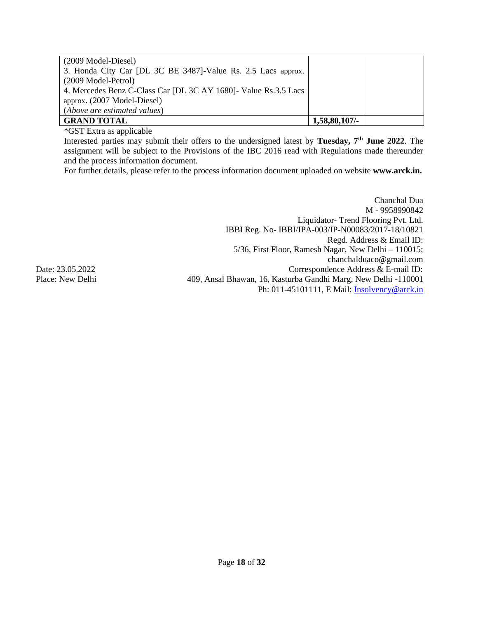| (2009 Model-Diesel)                                              |              |  |
|------------------------------------------------------------------|--------------|--|
| 3. Honda City Car [DL 3C BE 3487]-Value Rs. 2.5 Lacs approx.     |              |  |
| (2009 Model-Petrol)                                              |              |  |
| 4. Mercedes Benz C-Class Car [DL 3C AY 1680] - Value Rs.3.5 Lacs |              |  |
| approx. (2007 Model-Diesel)                                      |              |  |
| (Above are estimated values)                                     |              |  |
| <b>GRAND TOTAL</b>                                               | 1,58,80,107/ |  |

\*GST Extra as applicable

Interested parties may submit their offers to the undersigned latest by **Tuesday, 7th June 2022**. The assignment will be subject to the Provisions of the IBC 2016 read with Regulations made thereunder and the process information document.

For further details, please refer to the process information document uploaded on website **www.arck.in.**

 Chanchal Dua M - 9958990842 Liquidator- Trend Flooring Pvt. Ltd. IBBI Reg. No- IBBI/IPA-003/IP-N00083/2017-18/10821 Regd. Address & Email ID: 5/36, First Floor, Ramesh Nagar, New Delhi – 110015; chanchalduaco@gmail.com Date: 23.05.2022 Correspondence Address & E-mail ID: Place: New Delhi 409, Ansal Bhawan, 16, Kasturba Gandhi Marg, New Delhi -110001 Ph: 011-45101111, E Mail: [Insolvency@arck.in](mailto:Insolvency@arck.in)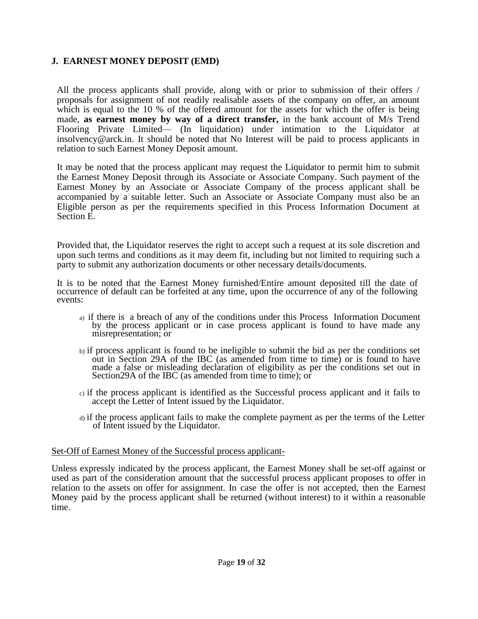#### **J. EARNEST MONEY DEPOSIT (EMD)**

All the process applicants shall provide, along with or prior to submission of their offers / proposals for assignment of not readily realisable assets of the company on offer, an amount which is equal to the 10 % of the offered amount for the assets for which the offer is being made, **as earnest money by way of a direct transfer,** in the bank account of M/s Trend Flooring Private Limited— (In liquidation) under intimation to the Liquidator at [insolvency@arck.in.](mailto:insolvency@arck.in) It should be noted that No Interest will be paid to process applicants in relation to such Earnest Money Deposit amount.

It may be noted that the process applicant may request the Liquidator to permit him to submit the Earnest Money Deposit through its Associate or Associate Company. Such payment of the Earnest Money by an Associate or Associate Company of the process applicant shall be accompanied by a suitable letter. Such an Associate or Associate Company must also be an Eligible person as per the requirements specified in this Process Information Document at Section E.

Provided that, the Liquidator reserves the right to accept such a request at its sole discretion and upon such terms and conditions as it may deem fit, including but not limited to requiring such a party to submit any authorization documents or other necessary details/documents.

It is to be noted that the Earnest Money furnished/Entire amount deposited till the date of occurrence of default can be forfeited at any time, upon the occurrence of any of the following events:

- a) if there is a breach of any of the conditions under this Process Information Document by the process applicant or in case process applicant is found to have made any misrepresentation; or
- b) if process applicant is found to be ineligible to submit the bid as per the conditions set out in Section 29A of the IBC (as amended from time to time) or is found to have made a false or misleading declaration of eligibility as per the conditions set out in Section29A of the IBC (as amended from time to time); or
- c) if the process applicant is identified as the Successful process applicant and it fails to accept the Letter of Intent issued by the Liquidator.
- d) if the process applicant fails to make the complete payment as per the terms of the Letter of Intent issued by the Liquidator.

#### Set-Off of Earnest Money of the Successful process applicant-

Unless expressly indicated by the process applicant, the Earnest Money shall be set-off against or used as part of the consideration amount that the successful process applicant proposes to offer in relation to the assets on offer for assignment. In case the offer is not accepted, then the Earnest Money paid by the process applicant shall be returned (without interest) to it within a reasonable time.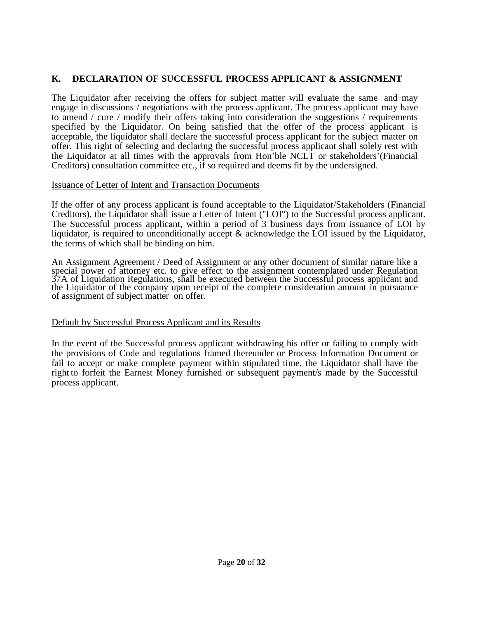### **K. DECLARATION OF SUCCESSFUL PROCESS APPLICANT & ASSIGNMENT**

The Liquidator after receiving the offers for subject matter will evaluate the same and may engage in discussions / negotiations with the process applicant. The process applicant may have to amend / cure / modify their offers taking into consideration the suggestions / requirements specified by the Liquidator. On being satisfied that the offer of the process applicant is acceptable, the liquidator shall declare the successful process applicant for the subject matter on offer. This right of selecting and declaring the successful process applicant shall solely rest with the Liquidator at all times with the approvals from Hon'ble NCLT or stakeholders'(Financial Creditors) consultation committee etc., if so required and deems fit by the undersigned.

#### Issuance of Letter of Intent and Transaction Documents

If the offer of any process applicant is found acceptable to the Liquidator/Stakeholders (Financial Creditors), the Liquidator shall issue a Letter of Intent ("LOI") to the Successful process applicant. The Successful process applicant, within a period of 3 business days from issuance of LOI by liquidator, is required to unconditionally accept & acknowledge the LOI issued by the Liquidator, the terms of which shall be binding on him.

An Assignment Agreement / Deed of Assignment or any other document of similar nature like a special power of attorney etc. to give effect to the assignment contemplated under Regulation 37A of Liquidation Regulations, shall be executed between the Successful process applicant and the Liquidator of the company upon receipt of the complete consideration amount in pursuance of assignment of subject matter on offer.

#### Default by Successful Process Applicant and its Results

In the event of the Successful process applicant withdrawing his offer or failing to comply with the provisions of Code and regulations framed thereunder or Process Information Document or fail to accept or make complete payment within stipulated time, the Liquidator shall have the right to forfeit the Earnest Money furnished or subsequent payment/s made by the Successful process applicant.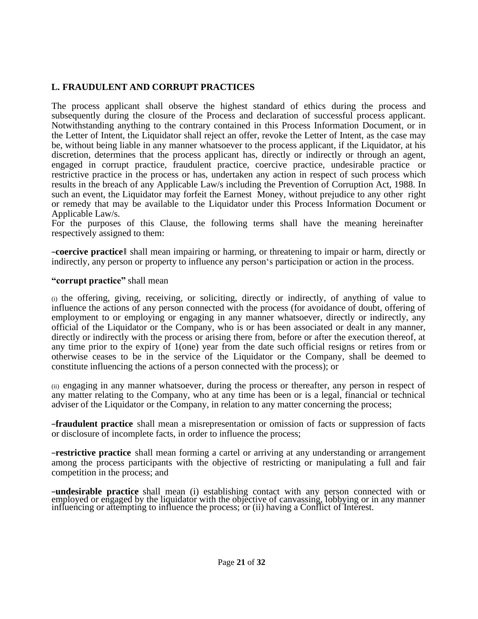### **L. FRAUDULENT AND CORRUPT PRACTICES**

The process applicant shall observe the highest standard of ethics during the process and subsequently during the closure of the Process and declaration of successful process applicant. Notwithstanding anything to the contrary contained in this Process Information Document, or in the Letter of Intent, the Liquidator shall reject an offer, revoke the Letter of Intent, as the case may be, without being liable in any manner whatsoever to the process applicant, if the Liquidator, at his discretion, determines that the process applicant has, directly or indirectly or through an agent, engaged in corrupt practice, fraudulent practice, coercive practice, undesirable practice or restrictive practice in the process or has, undertaken any action in respect of such process which results in the breach of any Applicable Law/s including the Prevention of Corruption Act, 1988. In such an event, the Liquidator may forfeit the Earnest Money, without prejudice to any other right or remedy that may be available to the Liquidator under this Process Information Document or Applicable Law/s.

For the purposes of this Clause, the following terms shall have the meaning hereinafter respectively assigned to them:

―**coercive practice**‖ shall mean impairing or harming, or threatening to impair or harm, directly or indirectly, any person or property to influence any person's participation or action in the process.

#### **"corrupt practice"** shall mean

(i) the offering, giving, receiving, or soliciting, directly or indirectly, of anything of value to influence the actions of any person connected with the process (for avoidance of doubt, offering of employment to or employing or engaging in any manner whatsoever, directly or indirectly, any official of the Liquidator or the Company, who is or has been associated or dealt in any manner, directly or indirectly with the process or arising there from, before or after the execution thereof, at any time prior to the expiry of 1(one) year from the date such official resigns or retires from or otherwise ceases to be in the service of the Liquidator or the Company, shall be deemed to constitute influencing the actions of a person connected with the process); or

(ii) engaging in any manner whatsoever, during the process or thereafter, any person in respect of any matter relating to the Company, who at any time has been or is a legal, financial or technical adviser of the Liquidator or the Company, in relation to any matter concerning the process;

―**fraudulent practice** shall mean a misrepresentation or omission of facts or suppression of facts or disclosure of incomplete facts, in order to influence the process;

―**restrictive practice** shall mean forming a cartel or arriving at any understanding or arrangement among the process participants with the objective of restricting or manipulating a full and fair competition in the process; and

―**undesirable practice** shall mean (i) establishing contact with any person connected with or employed or engaged by the liquidator with the objective of canvassing, lobbying or in any manner influencing or attempting to influence the process; or (ii) having a Conflict of Interest.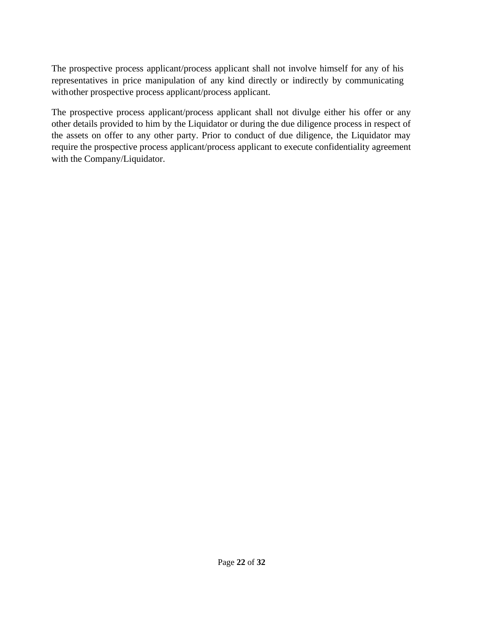The prospective process applicant/process applicant shall not involve himself for any of his representatives in price manipulation of any kind directly or indirectly by communicating with other prospective process applicant/process applicant.

The prospective process applicant/process applicant shall not divulge either his offer or any other details provided to him by the Liquidator or during the due diligence process in respect of the assets on offer to any other party. Prior to conduct of due diligence, the Liquidator may require the prospective process applicant/process applicant to execute confidentiality agreement with the Company/Liquidator.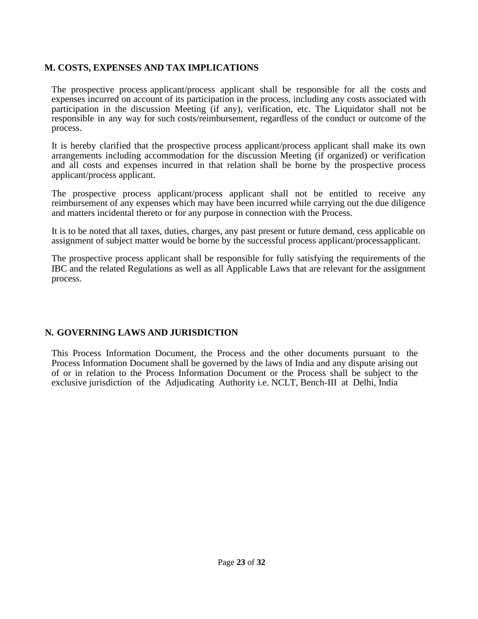### **M. COSTS, EXPENSES AND TAX IMPLICATIONS**

The prospective process applicant/process applicant shall be responsible for all the costs and expenses incurred on account of its participation in the process, including any costs associated with participation in the discussion Meeting (if any), verification, etc. The Liquidator shall not be responsible in any way for such costs/reimbursement, regardless of the conduct or outcome of the process.

It is hereby clarified that the prospective process applicant/process applicant shall make its own arrangements including accommodation for the discussion Meeting (if organized) or verification and all costs and expenses incurred in that relation shall be borne by the prospective process applicant/process applicant.

The prospective process applicant/process applicant shall not be entitled to receive any reimbursement of any expenses which may have been incurred while carrying out the due diligence and matters incidental thereto or for any purpose in connection with the Process.

It is to be noted that all taxes, duties, charges, any past present or future demand, cess applicable on assignment of subject matter would be borne by the successful process applicant/processapplicant.

The prospective process applicant shall be responsible for fully satisfying the requirements of the IBC and the related Regulations as well as all Applicable Laws that are relevant for the assignment process.

#### **N. GOVERNING LAWS AND JURISDICTION**

This Process Information Document, the Process and the other documents pursuant to the Process Information Document shall be governed by the laws of India and any dispute arising out of or in relation to the Process Information Document or the Process shall be subject to the exclusive jurisdiction of the Adjudicating Authority i.e. NCLT, Bench-III at Delhi, India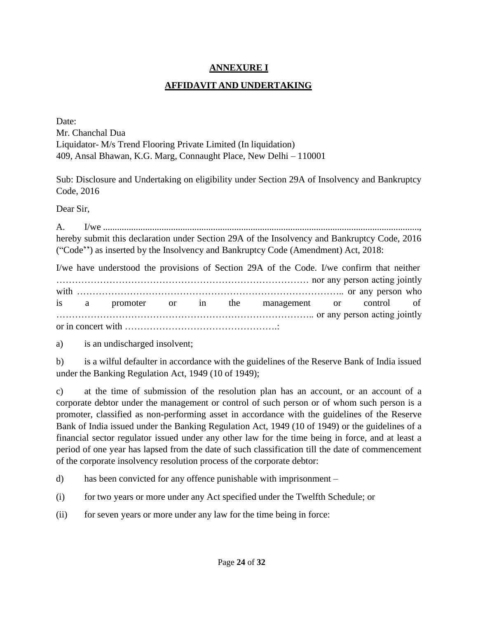### **ANNEXURE I**

### **AFFIDAVIT AND UNDERTAKING**

Date: Mr. Chanchal Dua Liquidator- M/s Trend Flooring Private Limited (In liquidation) 409, Ansal Bhawan, K.G. Marg, Connaught Place, New Delhi – 110001

Sub: Disclosure and Undertaking on eligibility under Section 29A of Insolvency and Bankruptcy Code, 2016

Dear Sir,

A. I/we ......................................................................................................................................., hereby submit this declaration under Section 29A of the Insolvency and Bankruptcy Code, 2016 ("Code") as inserted by the Insolvency and Bankruptcy Code (Amendment) Act, 2018:

I/we have understood the provisions of Section 29A of the Code. I/we confirm that neither ……………………………………………………………………… nor any person acting jointly with ………………………………………………………………………….. or any person who is a promoter or in the management or control of ……………………………………………………………………….. or any person acting jointly or in concert with ………………………………………….:

a) is an undischarged insolvent;

b) is a wilful defaulter in accordance with the guidelines of the Reserve Bank of India issued under the Banking Regulation Act, 1949 (10 of 1949);

c) at the time of submission of the resolution plan has an account, or an account of a corporate debtor under the management or control of such person or of whom such person is a promoter, classified as non-performing asset in accordance with the guidelines of the Reserve Bank of India issued under the Banking Regulation Act, 1949 (10 of 1949) or the guidelines of a financial sector regulator issued under any other law for the time being in force, and at least a period of one year has lapsed from the date of such classification till the date of commencement of the corporate insolvency resolution process of the corporate debtor:

d) has been convicted for any offence punishable with imprisonment –

- (i) for two years or more under any Act specified under the Twelfth Schedule; or
- (ii) for seven years or more under any law for the time being in force: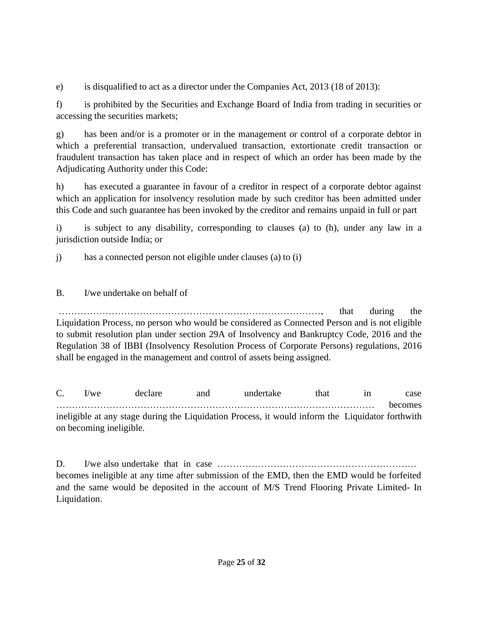e) is disqualified to act as a director under the Companies Act, 2013 (18 of 2013):

f) is prohibited by the Securities and Exchange Board of India from trading in securities or accessing the securities markets;

g) has been and/or is a promoter or in the management or control of a corporate debtor in which a preferential transaction, undervalued transaction, extortionate credit transaction or fraudulent transaction has taken place and in respect of which an order has been made by the Adjudicating Authority under this Code:

h) has executed a guarantee in favour of a creditor in respect of a corporate debtor against which an application for insolvency resolution made by such creditor has been admitted under this Code and such guarantee has been invoked by the creditor and remains unpaid in full or part

i) is subject to any disability, corresponding to clauses (a) to (h), under any law in a jurisdiction outside India; or

j) has a connected person not eligible under clauses (a) to (i)

B. I/we undertake on behalf of

…………………………………………………………………………, that during the Liquidation Process, no person who would be considered as Connected Person and is not eligible to submit resolution plan under section 29A of Insolvency and Bankruptcy Code, 2016 and the Regulation 38 of IBBI (Insolvency Resolution Process of Corporate Persons) regulations, 2016 shall be engaged in the management and control of assets being assigned.

C. I/we declare and undertake that in case ………………………………………………………………………………………… becomes ineligible at any stage during the Liquidation Process, it would inform the Liquidator forthwith on becoming ineligible.

D. I/we also undertake that in case ………………………………………………………. becomes ineligible at any time after submission of the EMD, then the EMD would be forfeited and the same would be deposited in the account of M/S Trend Flooring Private Limited- In Liquidation.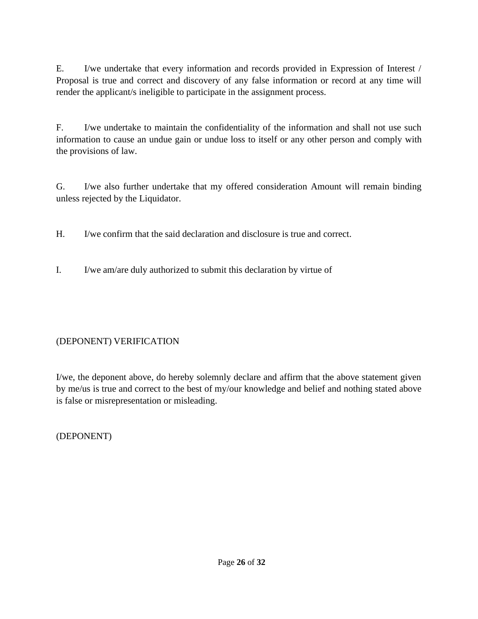E. I/we undertake that every information and records provided in Expression of Interest / Proposal is true and correct and discovery of any false information or record at any time will render the applicant/s ineligible to participate in the assignment process.

F. I/we undertake to maintain the confidentiality of the information and shall not use such information to cause an undue gain or undue loss to itself or any other person and comply with the provisions of law.

G. I/we also further undertake that my offered consideration Amount will remain binding unless rejected by the Liquidator.

H. I/we confirm that the said declaration and disclosure is true and correct.

I. I/we am/are duly authorized to submit this declaration by virtue of

## (DEPONENT) VERIFICATION

I/we, the deponent above, do hereby solemnly declare and affirm that the above statement given by me/us is true and correct to the best of my/our knowledge and belief and nothing stated above is false or misrepresentation or misleading.

(DEPONENT)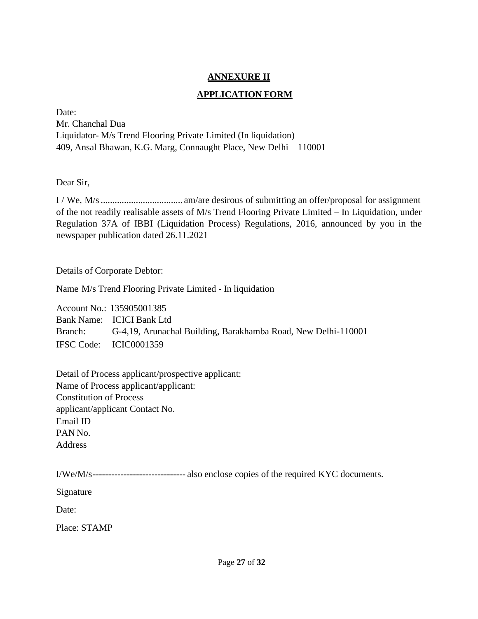### **ANNEXURE II**

### **APPLICATION FORM**

Date: Mr. Chanchal Dua Liquidator- M/s Trend Flooring Private Limited (In liquidation) 409, Ansal Bhawan, K.G. Marg, Connaught Place, New Delhi – 110001

Dear Sir,

I / We, M/s................................... am/are desirous of submitting an offer/proposal for assignment of the not readily realisable assets of M/s Trend Flooring Private Limited – In Liquidation, under Regulation 37A of IBBI (Liquidation Process) Regulations, 2016, announced by you in the newspaper publication dated 26.11.2021

Details of Corporate Debtor:

Name M/s Trend Flooring Private Limited - In liquidation

Account No.: 135905001385 Bank Name: ICICI Bank Ltd Branch: G-4,19, Arunachal Building, Barakhamba Road, New Delhi-110001 IFSC Code: ICIC0001359

| Detail of Process applicant/prospective applicant: |  |
|----------------------------------------------------|--|
| Name of Process applicant/applicant:               |  |
| <b>Constitution of Process</b>                     |  |
| applicant/applicant Contact No.                    |  |
| Email ID                                           |  |
| PAN <sub>N</sub> o.                                |  |
| <b>Address</b>                                     |  |

I/We/M/s------------------------------ also enclose copies of the required KYC documents.

Signature

Date:

Place: STAMP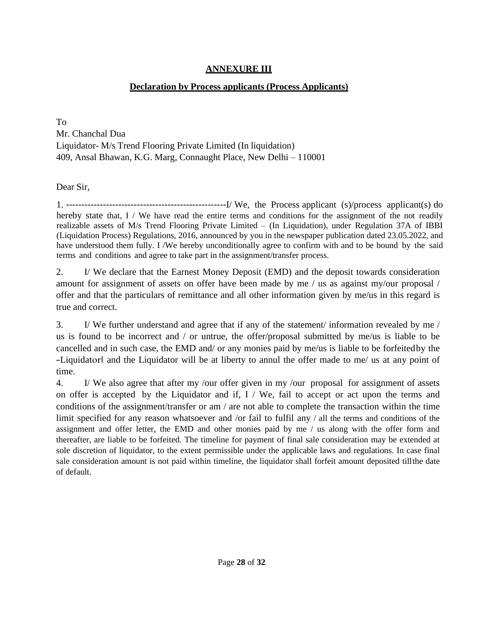### **ANNEXURE III**

### **Declaration by Process applicants (Process Applicants)**

To Mr. Chanchal Dua Liquidator- M/s Trend Flooring Private Limited (In liquidation) 409, Ansal Bhawan, K.G. Marg, Connaught Place, New Delhi – 110001

Dear Sir,

1. ----------------------------------------------------I/ We, the Process applicant (s)/process applicant(s) do hereby state that, I / We have read the entire terms and conditions for the assignment of the not readily realizable assets of M/s Trend Flooring Private Limited – (In Liquidation), under Regulation 37A of IBBI (Liquidation Process) Regulations, 2016, announced by you in the newspaper publication dated 23.05.2022, and have understood them fully. I /We hereby unconditionally agree to confirm with and to be bound by the said terms and conditions and agree to take part in the assignment/transfer process.

2. I/ We declare that the Earnest Money Deposit (EMD) and the deposit towards consideration amount for assignment of assets on offer have been made by me / us as against my/our proposal / offer and that the particulars of remittance and all other information given by me/us in this regard is true and correct.

3. I/ We further understand and agree that if any of the statement/ information revealed by me / us is found to be incorrect and / or untrue, the offer/proposal submitted by me/us is liable to be cancelled and in such case, the EMD and/ or any monies paid by me/us is liable to be forfeitedby the ―Liquidator‖ and the Liquidator will be at liberty to annul the offer made to me/ us at any point of time.

4. I/ We also agree that after my /our offer given in my /our proposal for assignment of assets on offer is accepted by the Liquidator and if,  $I / We$ , fail to accept or act upon the terms and conditions of the assignment/transfer or am / are not able to complete the transaction within the time limit specified for any reason whatsoever and /or fail to fulfil any / all the terms and conditions of the assignment and offer letter, the EMD and other monies paid by me / us along with the offer form and thereafter, are liable to be forfeited. The timeline for payment of final sale consideration may be extended at sole discretion of liquidator, to the extent permissible under the applicable laws and regulations. In case final sale consideration amount is not paid within timeline, the liquidator shall forfeit amount deposited tillthe date of default.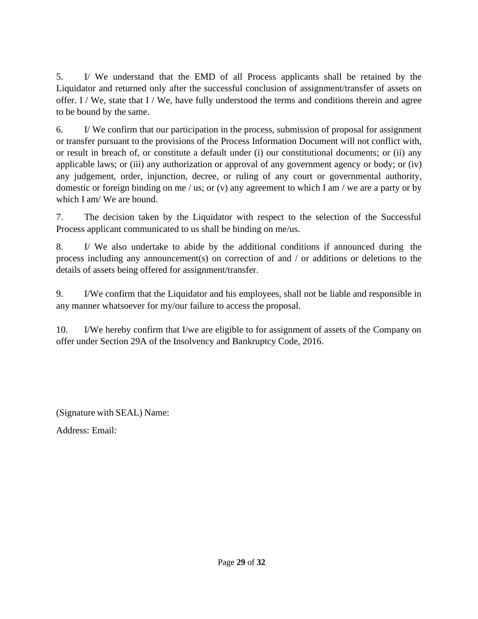5. I/ We understand that the EMD of all Process applicants shall be retained by the Liquidator and returned only after the successful conclusion of assignment/transfer of assets on offer. I / We, state that I / We, have fully understood the terms and conditions therein and agree to be bound by the same.

6. I/ We confirm that our participation in the process, submission of proposal for assignment or transfer pursuant to the provisions of the Process Information Document will not conflict with, or result in breach of, or constitute a default under (i) our constitutional documents; or (ii) any applicable laws; or (iii) any authorization or approval of any government agency or body; or (iv) any judgement, order, injunction, decree, or ruling of any court or governmental authority, domestic or foreign binding on me / us; or (v) any agreement to which I am / we are a party or by which I am/ We are bound.

7. The decision taken by the Liquidator with respect to the selection of the Successful Process applicant communicated to us shall be binding on me/us.

8. I/ We also undertake to abide by the additional conditions if announced during the process including any announcement(s) on correction of and / or additions or deletions to the details of assets being offered for assignment/transfer.

9. I/We confirm that the Liquidator and his employees, shall not be liable and responsible in any manner whatsoever for my/our failure to access the proposal.

10. I/We hereby confirm that I/we are eligible to for assignment of assets of the Company on offer under Section 29A of the Insolvency and Bankruptcy Code, 2016.

(Signature with SEAL) Name:

Address: Email: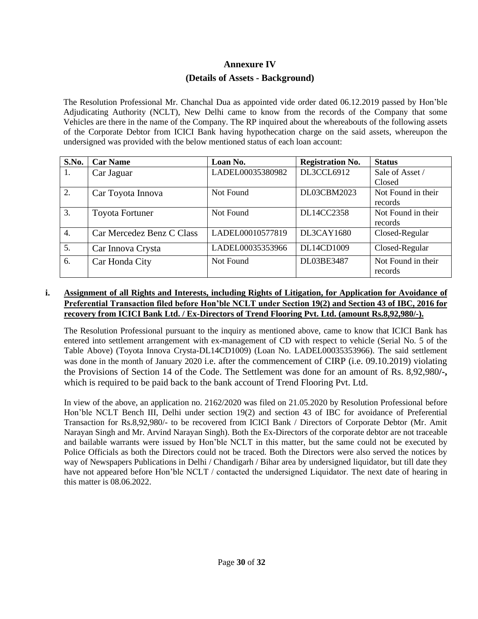# **Annexure IV (Details of Assets - Background)**

The Resolution Professional Mr. Chanchal Dua as appointed vide order dated 06.12.2019 passed by Hon'ble Adjudicating Authority (NCLT), New Delhi came to know from the records of the Company that some Vehicles are there in the name of the Company. The RP inquired about the whereabouts of the following assets of the Corporate Debtor from ICICI Bank having hypothecation charge on the said assets, whereupon the undersigned was provided with the below mentioned status of each loan account:

| S.No.            | <b>Car Name</b>           | Loan No.         | <b>Registration No.</b> | <b>Status</b>      |
|------------------|---------------------------|------------------|-------------------------|--------------------|
| 1.               | Car Jaguar                | LADEL00035380982 | DL3CCL6912              | Sale of Asset /    |
|                  |                           |                  |                         | Closed             |
| 2.               | Car Toyota Innova         | Not Found        | DL03CBM2023             | Not Found in their |
|                  |                           |                  |                         | records            |
| 3.               | <b>Toyota Fortuner</b>    | Not Found        | DL14CC2358              | Not Found in their |
|                  |                           |                  |                         | records            |
| $\overline{4}$ . | Car Mercedez Benz C Class | LADEL00010577819 | <b>DL3CAY1680</b>       | Closed-Regular     |
| 5.               | Car Innova Crysta         | LADEL00035353966 | DL14CD1009              | Closed-Regular     |
| 6.               | Car Honda City            | Not Found        | DL03BE3487              | Not Found in their |
|                  |                           |                  |                         | records            |

#### **i. Assignment of all Rights and Interests, including Rights of Litigation, for Application for Avoidance of Preferential Transaction filed before Hon'ble NCLT under Section 19(2) and Section 43 of IBC, 2016 for recovery from ICICI Bank Ltd. / Ex-Directors of Trend Flooring Pvt. Ltd. (amount Rs.8,92,980/-).**

The Resolution Professional pursuant to the inquiry as mentioned above, came to know that ICICI Bank has entered into settlement arrangement with ex-management of CD with respect to vehicle (Serial No. 5 of the Table Above) (Toyota Innova Crysta-DL14CD1009) (Loan No. LADEL00035353966). The said settlement was done in the month of January 2020 i.e. after the commencement of CIRP (i.e. 09.10.2019) violating the Provisions of Section 14 of the Code. The Settlement was done for an amount of Rs. 8,92,980**/-,**  which is required to be paid back to the bank account of Trend Flooring Pvt. Ltd.

In view of the above, an application no. 2162/2020 was filed on 21.05.2020 by Resolution Professional before Hon'ble NCLT Bench III, Delhi under section 19(2) and section 43 of IBC for avoidance of Preferential Transaction for Rs.8,92,980/- to be recovered from ICICI Bank / Directors of Corporate Debtor (Mr. Amit Narayan Singh and Mr. Arvind Narayan Singh). Both the Ex-Directors of the corporate debtor are not traceable and bailable warrants were issued by Hon'ble NCLT in this matter, but the same could not be executed by Police Officials as both the Directors could not be traced. Both the Directors were also served the notices by way of Newspapers Publications in Delhi / Chandigarh / Bihar area by undersigned liquidator, but till date they have not appeared before Hon'ble NCLT / contacted the undersigned Liquidator. The next date of hearing in this matter is 08.06.2022.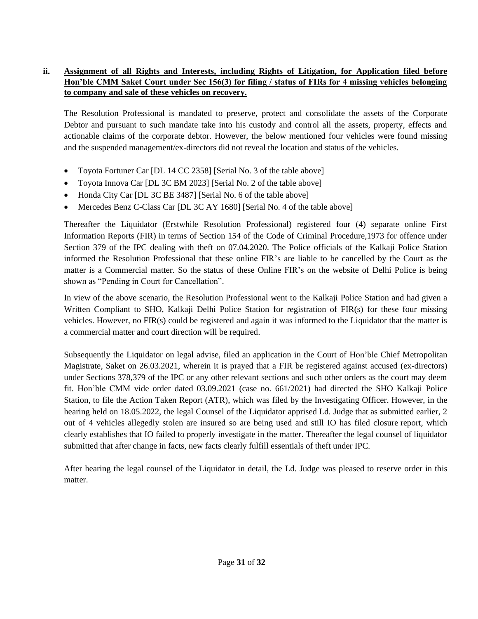### **ii. Assignment of all Rights and Interests, including Rights of Litigation, for Application filed before Hon'ble CMM Saket Court under Sec 156(3) for filing / status of FIRs for 4 missing vehicles belonging to company and sale of these vehicles on recovery.**

The Resolution Professional is mandated to preserve, protect and consolidate the assets of the Corporate Debtor and pursuant to such mandate take into his custody and control all the assets, property, effects and actionable claims of the corporate debtor. However, the below mentioned four vehicles were found missing and the suspended management/ex-directors did not reveal the location and status of the vehicles.

- Toyota Fortuner Car [DL 14 CC 2358] [Serial No. 3 of the table above]
- Toyota Innova Car [DL 3C BM 2023] [Serial No. 2 of the table above]
- Honda City Car [DL 3C BE 3487] [Serial No. 6 of the table above]
- Mercedes Benz C-Class Car [DL 3C AY 1680] [Serial No. 4 of the table above]

Thereafter the Liquidator (Erstwhile Resolution Professional) registered four (4) separate online First Information Reports (FIR) in terms of Section 154 of the Code of Criminal Procedure,1973 for offence under Section 379 of the IPC dealing with theft on 07.04.2020. The Police officials of the Kalkaji Police Station informed the Resolution Professional that these online FIR's are liable to be cancelled by the Court as the matter is a Commercial matter. So the status of these Online FIR's on the website of Delhi Police is being shown as "Pending in Court for Cancellation".

In view of the above scenario, the Resolution Professional went to the Kalkaji Police Station and had given a Written Compliant to SHO, Kalkaji Delhi Police Station for registration of FIR(s) for these four missing vehicles. However, no FIR(s) could be registered and again it was informed to the Liquidator that the matter is a commercial matter and court direction will be required.

Subsequently the Liquidator on legal advise, filed an application in the Court of Hon'ble Chief Metropolitan Magistrate, Saket on 26.03.2021, wherein it is prayed that a FIR be registered against accused (ex-directors) under Sections 378,379 of the IPC or any other relevant sections and such other orders as the court may deem fit. Hon'ble CMM vide order dated 03.09.2021 (case no. 661/2021) had directed the SHO Kalkaji Police Station, to file the Action Taken Report (ATR), which was filed by the Investigating Officer. However, in the hearing held on 18.05.2022, the legal Counsel of the Liquidator apprised Ld. Judge that as submitted earlier, 2 out of 4 vehicles allegedly stolen are insured so are being used and still IO has filed closure report, which clearly establishes that IO failed to properly investigate in the matter. Thereafter the legal counsel of liquidator submitted that after change in facts, new facts clearly fulfill essentials of theft under IPC.

After hearing the legal counsel of the Liquidator in detail, the Ld. Judge was pleased to reserve order in this matter.